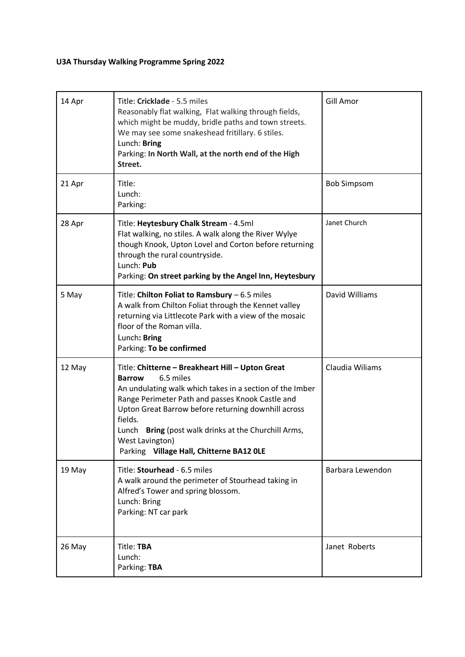## **U3A Thursday Walking Programme Spring 2022**

| 14 Apr | Title: Cricklade - 5.5 miles<br>Reasonably flat walking, Flat walking through fields,<br>which might be muddy, bridle paths and town streets.<br>We may see some snakeshead fritillary. 6 stiles.<br>Lunch: Bring<br>Parking: In North Wall, at the north end of the High<br>Street.                                                                                                       | Gill Amor          |
|--------|--------------------------------------------------------------------------------------------------------------------------------------------------------------------------------------------------------------------------------------------------------------------------------------------------------------------------------------------------------------------------------------------|--------------------|
| 21 Apr | Title:<br>Lunch:<br>Parking:                                                                                                                                                                                                                                                                                                                                                               | <b>Bob Simpsom</b> |
| 28 Apr | Title: Heytesbury Chalk Stream - 4.5ml<br>Flat walking, no stiles. A walk along the River Wylye<br>though Knook, Upton Lovel and Corton before returning<br>through the rural countryside.<br>Lunch: Pub<br>Parking: On street parking by the Angel Inn, Heytesbury                                                                                                                        | Janet Church       |
| 5 May  | Title: Chilton Foliat to Ramsbury - 6.5 miles<br>A walk from Chilton Foliat through the Kennet valley<br>returning via Littlecote Park with a view of the mosaic<br>floor of the Roman villa.<br>Lunch: Bring<br>Parking: To be confirmed                                                                                                                                                  | David Williams     |
| 12 May | Title: Chitterne - Breakheart Hill - Upton Great<br>6.5 miles<br><b>Barrow</b><br>An undulating walk which takes in a section of the Imber<br>Range Perimeter Path and passes Knook Castle and<br>Upton Great Barrow before returning downhill across<br>fields.<br>Bring (post walk drinks at the Churchill Arms,<br>Lunch<br>West Lavington)<br>Parking Village Hall, Chitterne BA12 OLE | Claudia Wiliams    |
| 19 May | Title: Stourhead - 6.5 miles<br>A walk around the perimeter of Stourhead taking in<br>Alfred's Tower and spring blossom.<br>Lunch: Bring<br>Parking: NT car park                                                                                                                                                                                                                           | Barbara Lewendon   |
| 26 May | Title: TBA<br>Lunch:<br>Parking: TBA                                                                                                                                                                                                                                                                                                                                                       | Janet Roberts      |